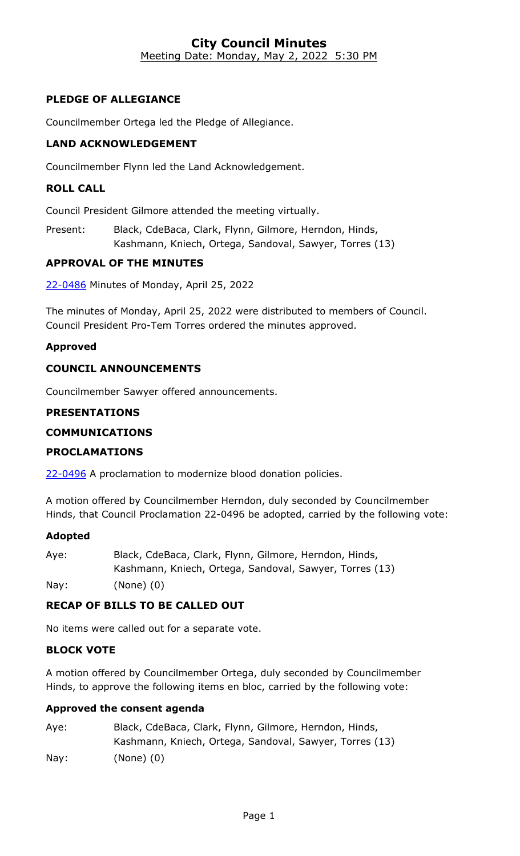#### **City Council Minutes** Meeting Date: Monday, May 2, 2022 5:30 PM

# **PLEDGE OF ALLEGIANCE**

Councilmember Ortega led the Pledge of Allegiance.

## **LAND ACKNOWLEDGEMENT**

Councilmember Flynn led the Land Acknowledgement.

#### **ROLL CALL**

Council President Gilmore attended the meeting virtually.

Present: Black, CdeBaca, Clark, Flynn, Gilmore, Herndon, Hinds, Kashmann, Kniech, Ortega, Sandoval, Sawyer, Torres (13)

#### **APPROVAL OF THE MINUTES**

22-0486 [Minutes of Monday, April 25, 2022](http://denver.legistar.com/gateway.aspx?m=l&id=/matter.aspx?key=21553)

The minutes of Monday, April 25, 2022 were distributed to members of Council. Council President Pro-Tem Torres ordered the minutes approved.

#### **Approved**

#### **COUNCIL ANNOUNCEMENTS**

Councilmember Sawyer offered announcements.

#### **PRESENTATIONS**

#### **COMMUNICATIONS**

#### **PROCLAMATIONS**

22-0496 A proclamation to modernize blood donation policies.

A motion offered by Councilmember Herndon, duly seconded by Councilmember Hinds, that Council Proclamation 22-0496 be adopted, carried by the following vote:

#### **Adopted**

| Aye: | Black, CdeBaca, Clark, Flynn, Gilmore, Herndon, Hinds,  |
|------|---------------------------------------------------------|
|      | Kashmann, Kniech, Ortega, Sandoval, Sawyer, Torres (13) |
| Nay: | $(None)$ $(0)$                                          |

#### **RECAP OF BILLS TO BE CALLED OUT**

No items were called out for a separate vote.

#### **BLOCK VOTE**

A motion offered by Councilmember Ortega, duly seconded by Councilmember Hinds, to approve the following items en bloc, carried by the following vote:

#### **Approved the consent agenda**

| Aye:            | Black, CdeBaca, Clark, Flynn, Gilmore, Herndon, Hinds,  |
|-----------------|---------------------------------------------------------|
|                 | Kashmann, Kniech, Ortega, Sandoval, Sawyer, Torres (13) |
| $\textsf{Nav:}$ | $(None)$ $(0)$                                          |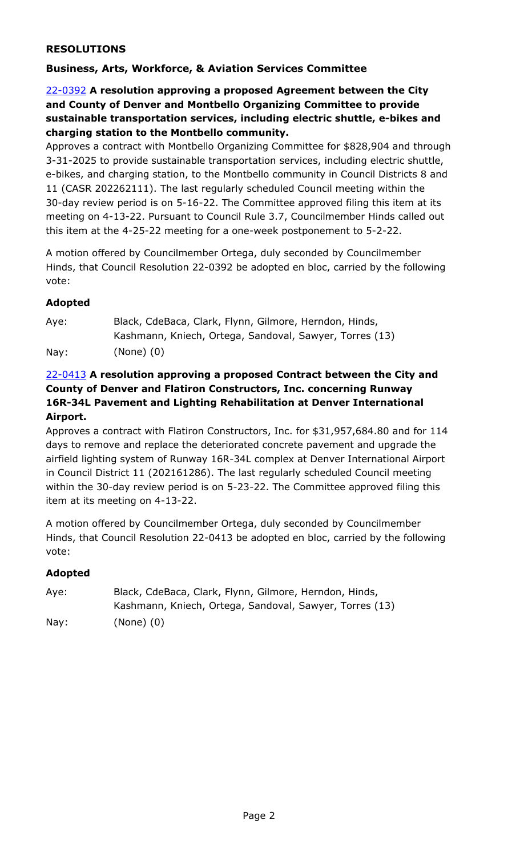## **RESOLUTIONS**

# **Business, Arts, Workforce, & Aviation Services Committee**

## 22-0392 **A resolution approving a proposed Agreement between the City and County of Denver and Montbello Organizing Committee to provide sustainable transportation services, including electric shuttle, e-bikes and charging station to the Montbello community.**

[Approves a contract with Montbello Organizing Committee for \\$828,904 and through](http://denver.legistar.com/gateway.aspx?m=l&id=/matter.aspx?key=21459)  3-31-2025 to provide sustainable transportation services, including electric shuttle, e-bikes, and charging station, to the Montbello community in Council Districts 8 and 11 (CASR 202262111). The last regularly scheduled Council meeting within the 30-day review period is on 5-16-22. The Committee approved filing this item at its meeting on 4-13-22. Pursuant to Council Rule 3.7, Councilmember Hinds called out this item at the 4-25-22 meeting for a one-week postponement to 5-2-22.

A motion offered by Councilmember Ortega, duly seconded by Councilmember Hinds, that Council Resolution 22-0392 be adopted en bloc, carried by the following vote:

## **Adopted**

| Aye: | Black, CdeBaca, Clark, Flynn, Gilmore, Herndon, Hinds,  |
|------|---------------------------------------------------------|
|      | Kashmann, Kniech, Ortega, Sandoval, Sawyer, Torres (13) |
| Nay: | $(None)$ $(0)$                                          |

# 22-0413 **A resolution approving a proposed Contract between the City and County of Denver and Flatiron Constructors, Inc. concerning Runway 16R-34L Pavement and Lighting Rehabilitation at Denver International Airport.**

[Approves a contract with Flatiron Constructors, Inc. for \\$31,957,684.80 and for 114](http://denver.legistar.com/gateway.aspx?m=l&id=/matter.aspx?key=21480)  days to remove and replace the deteriorated concrete pavement and upgrade the airfield lighting system of Runway 16R-34L complex at Denver International Airport in Council District 11 (202161286). The last regularly scheduled Council meeting within the 30-day review period is on 5-23-22. The Committee approved filing this item at its meeting on 4-13-22.

A motion offered by Councilmember Ortega, duly seconded by Councilmember Hinds, that Council Resolution 22-0413 be adopted en bloc, carried by the following vote:

| Aye: | Black, CdeBaca, Clark, Flynn, Gilmore, Herndon, Hinds,  |
|------|---------------------------------------------------------|
|      | Kashmann, Kniech, Ortega, Sandoval, Sawyer, Torres (13) |
| Nay: | (None) (0)                                              |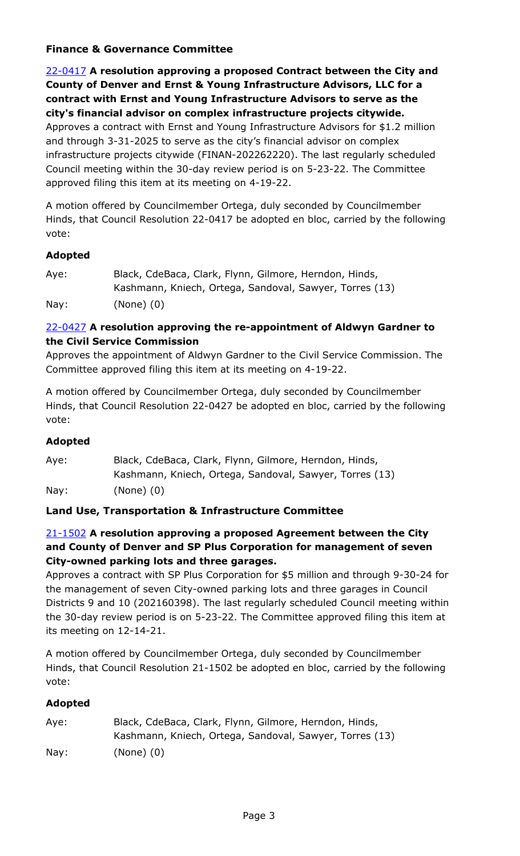# **Finance & Governance Committee**

22-0417 **A resolution approving a proposed Contract between the City and County of Denver and Ernst & Young Infrastructure Advisors, LLC for a contract with Ernst and Young Infrastructure Advisors to serve as the city's financial advisor on complex infrastructure projects citywide.** Approves a contract with Ernst and Young Infrastructure Advisors for \$1.2 million and through 3-31-2025 to serve as the city's financial advisor on complex [infrastructure projects citywide \(FINAN-202262220\). The last regularly scheduled](http://denver.legistar.com/gateway.aspx?m=l&id=/matter.aspx?key=21484)  Council meeting within the 30-day review period is on 5-23-22. The Committee approved filing this item at its meeting on 4-19-22.

A motion offered by Councilmember Ortega, duly seconded by Councilmember Hinds, that Council Resolution 22-0417 be adopted en bloc, carried by the following vote:

## **Adopted**

| Aye: | Black, CdeBaca, Clark, Flynn, Gilmore, Herndon, Hinds,  |
|------|---------------------------------------------------------|
|      | Kashmann, Kniech, Ortega, Sandoval, Sawyer, Torres (13) |
| Nay: | $(None)$ $(0)$                                          |

## 22-0427 **A resolution approving the re-appointment of Aldwyn Gardner to the Civil Service Commission**

[Approves the appointment of Aldwyn Gardner to the Civil Service Commission. The](http://denver.legistar.com/gateway.aspx?m=l&id=/matter.aspx?key=21494)  Committee approved filing this item at its meeting on 4-19-22.

A motion offered by Councilmember Ortega, duly seconded by Councilmember Hinds, that Council Resolution 22-0427 be adopted en bloc, carried by the following vote:

## **Adopted**

| Aye: | Black, CdeBaca, Clark, Flynn, Gilmore, Herndon, Hinds,  |
|------|---------------------------------------------------------|
|      | Kashmann, Kniech, Ortega, Sandoval, Sawyer, Torres (13) |
| Nay: | $(None)$ $(0)$                                          |

## **Land Use, Transportation & Infrastructure Committee**

# 21-1502 **A resolution approving a proposed Agreement between the City and County of Denver and SP Plus Corporation for management of seven City-owned parking lots and three garages.**

Approves a contract with SP Plus Corporation for \$5 million and through 9-30-24 for the management of seven City-owned parking lots and three garages in Council [Districts 9 and 10 \(202160398\). The last regularly scheduled Council meeting within](http://denver.legistar.com/gateway.aspx?m=l&id=/matter.aspx?key=21019)  the 30-day review period is on 5-23-22. The Committee approved filing this item at its meeting on 12-14-21.

A motion offered by Councilmember Ortega, duly seconded by Councilmember Hinds, that Council Resolution 21-1502 be adopted en bloc, carried by the following vote:

| Aye:            | Black, CdeBaca, Clark, Flynn, Gilmore, Herndon, Hinds,  |
|-----------------|---------------------------------------------------------|
|                 | Kashmann, Kniech, Ortega, Sandoval, Sawyer, Torres (13) |
| $\textsf{Nav:}$ | $(None)$ $(0)$                                          |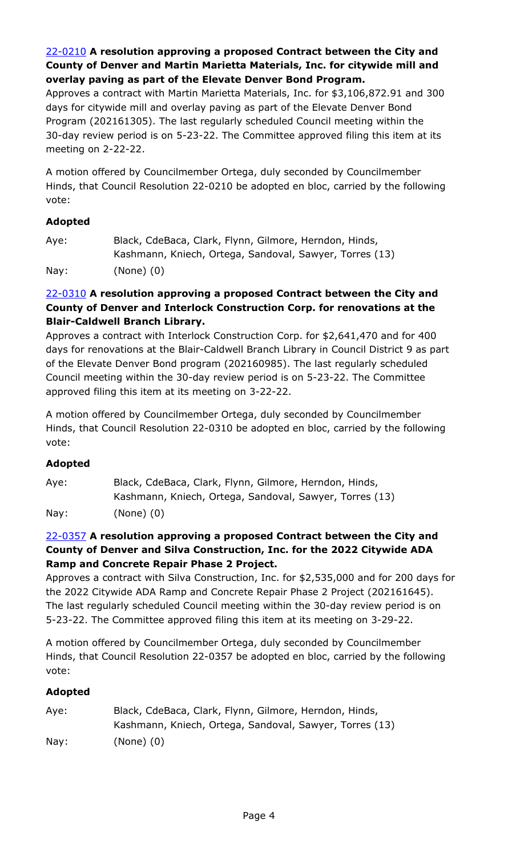# 22-0210 **A resolution approving a proposed Contract between the City and County of Denver and Martin Marietta Materials, Inc. for citywide mill and overlay paving as part of the Elevate Denver Bond Program.**

[Approves a contract with Martin Marietta Materials, Inc. for \\$3,106,872.91 and 300](http://denver.legistar.com/gateway.aspx?m=l&id=/matter.aspx?key=21277)  days for citywide mill and overlay paving as part of the Elevate Denver Bond Program (202161305). The last regularly scheduled Council meeting within the 30-day review period is on 5-23-22. The Committee approved filing this item at its meeting on 2-22-22.

A motion offered by Councilmember Ortega, duly seconded by Councilmember Hinds, that Council Resolution 22-0210 be adopted en bloc, carried by the following vote:

# **Adopted**

| Aye: | Black, CdeBaca, Clark, Flynn, Gilmore, Herndon, Hinds,  |
|------|---------------------------------------------------------|
|      | Kashmann, Kniech, Ortega, Sandoval, Sawyer, Torres (13) |
| Nay: | $(None)$ $(0)$                                          |

## 22-0310 **A resolution approving a proposed Contract between the City and County of Denver and Interlock Construction Corp. for renovations at the Blair-Caldwell Branch Library.**

Approves a contract with Interlock Construction Corp. for \$2,641,470 and for 400 [days for renovations at the Blair-Caldwell Branch Library in Council District 9 as part](http://denver.legistar.com/gateway.aspx?m=l&id=/matter.aspx?key=21377)  of the Elevate Denver Bond program (202160985). The last regularly scheduled Council meeting within the 30-day review period is on 5-23-22. The Committee approved filing this item at its meeting on 3-22-22.

A motion offered by Councilmember Ortega, duly seconded by Councilmember Hinds, that Council Resolution 22-0310 be adopted en bloc, carried by the following vote:

## **Adopted**

Aye: Black, CdeBaca, Clark, Flynn, Gilmore, Herndon, Hinds, Kashmann, Kniech, Ortega, Sandoval, Sawyer, Torres (13) Nay: (None) (0)

## 22-0357 **A resolution approving a proposed Contract between the City and County of Denver and Silva Construction, Inc. for the 2022 Citywide ADA Ramp and Concrete Repair Phase 2 Project.**

[Approves a contract with Silva Construction, Inc. for \\$2,535,000 and for 200 days for](http://denver.legistar.com/gateway.aspx?m=l&id=/matter.aspx?key=21424)  the 2022 Citywide ADA Ramp and Concrete Repair Phase 2 Project (202161645). The last regularly scheduled Council meeting within the 30-day review period is on 5-23-22. The Committee approved filing this item at its meeting on 3-29-22.

A motion offered by Councilmember Ortega, duly seconded by Councilmember Hinds, that Council Resolution 22-0357 be adopted en bloc, carried by the following vote:

| Aye:            | Black, CdeBaca, Clark, Flynn, Gilmore, Herndon, Hinds,  |
|-----------------|---------------------------------------------------------|
|                 | Kashmann, Kniech, Ortega, Sandoval, Sawyer, Torres (13) |
| $\textsf{Nav:}$ | $(None)$ $(0)$                                          |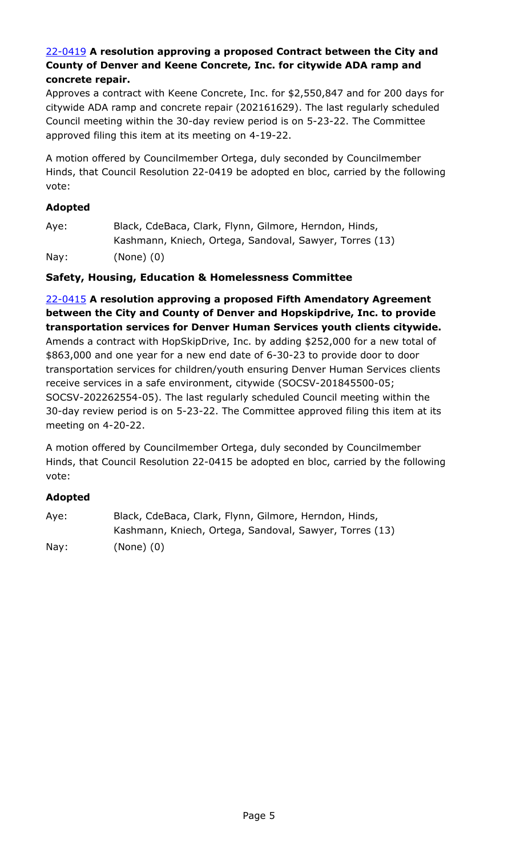#### 22-0419 **A resolution approving a proposed Contract between the City and County of Denver and Keene Concrete, Inc. for citywide ADA ramp and concrete repair.**

[Approves a contract with Keene Concrete, Inc. for \\$2,550,847 and for 200 days for](http://denver.legistar.com/gateway.aspx?m=l&id=/matter.aspx?key=21486)  citywide ADA ramp and concrete repair (202161629). The last regularly scheduled Council meeting within the 30-day review period is on 5-23-22. The Committee approved filing this item at its meeting on 4-19-22.

A motion offered by Councilmember Ortega, duly seconded by Councilmember Hinds, that Council Resolution 22-0419 be adopted en bloc, carried by the following vote:

## **Adopted**

Aye: Black, CdeBaca, Clark, Flynn, Gilmore, Herndon, Hinds, Kashmann, Kniech, Ortega, Sandoval, Sawyer, Torres (13)

Nay: (None) (0)

## **Safety, Housing, Education & Homelessness Committee**

22-0415 **A resolution approving a proposed Fifth Amendatory Agreement between the City and County of Denver and Hopskipdrive, Inc. to provide transportation services for Denver Human Services youth clients citywide.** Amends a contract with HopSkipDrive, Inc. by adding \$252,000 for a new total of \$863,000 and one year for a new end date of 6-30-23 to provide door to door transportation services for children/youth ensuring Denver Human Services clients receive services in a safe environment, citywide (SOCSV-201845500-05; SOCSV-202262554-05). The last regularly scheduled Council meeting within the [30-day review period is on 5-23-22. The Committee approved filing this item at its](http://denver.legistar.com/gateway.aspx?m=l&id=/matter.aspx?key=21482)  meeting on 4-20-22.

A motion offered by Councilmember Ortega, duly seconded by Councilmember Hinds, that Council Resolution 22-0415 be adopted en bloc, carried by the following vote:

| Aye: | Black, CdeBaca, Clark, Flynn, Gilmore, Herndon, Hinds,  |
|------|---------------------------------------------------------|
|      | Kashmann, Kniech, Ortega, Sandoval, Sawyer, Torres (13) |
| Nay: | $(None)$ $(0)$                                          |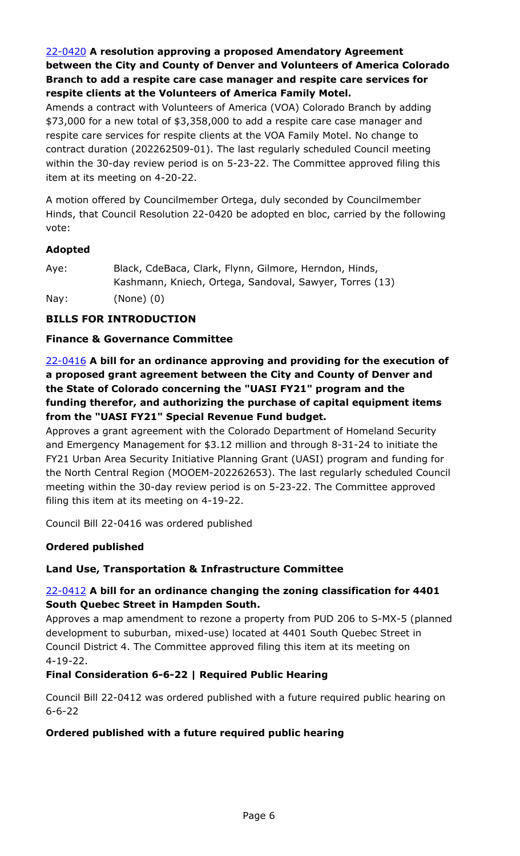# 22-0420 **A resolution approving a proposed Amendatory Agreement [between the City and County of Denver and Volunteers of America Colorado](http://denver.legistar.com/gateway.aspx?m=l&id=/matter.aspx?key=21487)  Branch to add a respite care case manager and respite care services for respite clients at the Volunteers of America Family Motel.**

Amends a contract with Volunteers of America (VOA) Colorado Branch by adding \$73,000 for a new total of \$3,358,000 to add a respite care case manager and respite care services for respite clients at the VOA Family Motel. No change to contract duration (202262509-01). The last regularly scheduled Council meeting within the 30-day review period is on 5-23-22. The Committee approved filing this item at its meeting on 4-20-22.

A motion offered by Councilmember Ortega, duly seconded by Councilmember Hinds, that Council Resolution 22-0420 be adopted en bloc, carried by the following vote:

## **Adopted**

| Aye: | Black, CdeBaca, Clark, Flynn, Gilmore, Herndon, Hinds,  |
|------|---------------------------------------------------------|
|      | Kashmann, Kniech, Ortega, Sandoval, Sawyer, Torres (13) |
| Nay: | $(None)$ $(0)$                                          |

# **BILLS FOR INTRODUCTION**

# **Finance & Governance Committee**

22-0416 **A bill for an ordinance approving and providing for the execution of a proposed grant agreement between the City and County of Denver and the State of Colorado concerning the "UASI FY21" program and the funding therefor, and authorizing the purchase of capital equipment items from the "UASI FY21" Special Revenue Fund budget.**

Approves a grant agreement with the Colorado Department of Homeland Security and Emergency Management for \$3.12 million and through 8-31-24 to initiate the FY21 Urban Area Security Initiative Planning Grant (UASI) program and funding for [the North Central Region \(MOOEM-202262653\). The last regularly scheduled Council](http://denver.legistar.com/gateway.aspx?m=l&id=/matter.aspx?key=21483)  meeting within the 30-day review period is on 5-23-22. The Committee approved filing this item at its meeting on 4-19-22.

Council Bill 22-0416 was ordered published

## **Ordered published**

## **Land Use, Transportation & Infrastructure Committee**

# 22-0412 **A bill for an ordinance changing the zoning classification for 4401 South Quebec Street in Hampden South.**

[Approves a map amendment to rezone a property from PUD 206 to S-MX-5 \(planned](http://denver.legistar.com/gateway.aspx?m=l&id=/matter.aspx?key=21479)  development to suburban, mixed-use) located at 4401 South Quebec Street in Council District 4. The Committee approved filing this item at its meeting on 4-19-22.

## **Final Consideration 6-6-22 | Required Public Hearing**

Council Bill 22-0412 was ordered published with a future required public hearing on 6-6-22

## **Ordered published with a future required public hearing**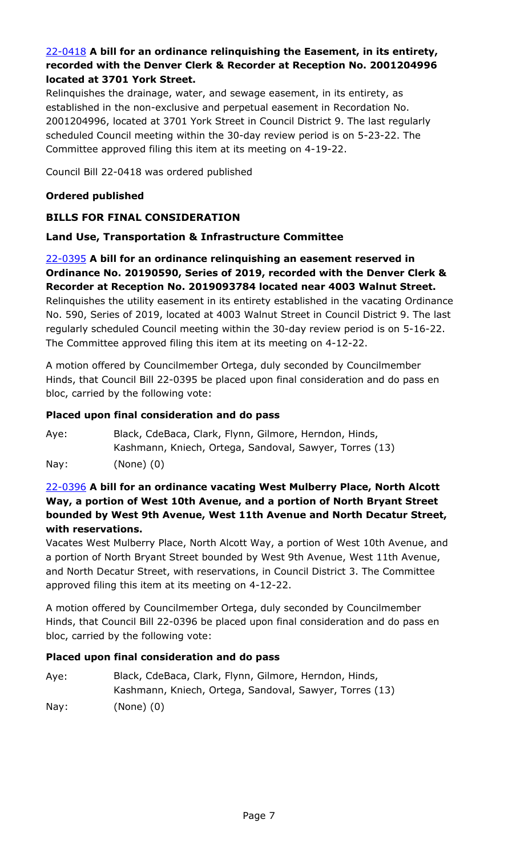## 22-0418 **A bill for an ordinance relinquishing the Easement, in its entirety, [recorded with the Denver Clerk & Recorder at Reception No. 2001204996](http://denver.legistar.com/gateway.aspx?m=l&id=/matter.aspx?key=21485)  located at 3701 York Street.**

Relinquishes the drainage, water, and sewage easement, in its entirety, as established in the non-exclusive and perpetual easement in Recordation No. 2001204996, located at 3701 York Street in Council District 9. The last regularly scheduled Council meeting within the 30-day review period is on 5-23-22. The Committee approved filing this item at its meeting on 4-19-22.

Council Bill 22-0418 was ordered published

## **Ordered published**

## **BILLS FOR FINAL CONSIDERATION**

#### **Land Use, Transportation & Infrastructure Committee**

22-0395 **A bill for an ordinance relinquishing an easement reserved in Ordinance No. 20190590, Series of 2019, recorded with the Denver Clerk & Recorder at Reception No. 2019093784 located near 4003 Walnut Street.** [Relinquishes the utility easement in its entirety established in the vacating Ordinance](http://denver.legistar.com/gateway.aspx?m=l&id=/matter.aspx?key=21462)  No. 590, Series of 2019, located at 4003 Walnut Street in Council District 9. The last regularly scheduled Council meeting within the 30-day review period is on 5-16-22. The Committee approved filing this item at its meeting on 4-12-22.

A motion offered by Councilmember Ortega, duly seconded by Councilmember Hinds, that Council Bill 22-0395 be placed upon final consideration and do pass en bloc, carried by the following vote:

#### **Placed upon final consideration and do pass**

Aye: Black, CdeBaca, Clark, Flynn, Gilmore, Herndon, Hinds, Kashmann, Kniech, Ortega, Sandoval, Sawyer, Torres (13) Nay: (None) (0)

## 22-0396 **A bill for an ordinance vacating West Mulberry Place, North Alcott Way, a portion of West 10th Avenue, and a portion of North Bryant Street bounded by West 9th Avenue, West 11th Avenue and North Decatur Street, with reservations.**

[Vacates West Mulberry Place, North Alcott Way, a portion of West 10th Avenue, and](http://denver.legistar.com/gateway.aspx?m=l&id=/matter.aspx?key=21463)  a portion of North Bryant Street bounded by West 9th Avenue, West 11th Avenue, and North Decatur Street, with reservations, in Council District 3. The Committee approved filing this item at its meeting on 4-12-22.

A motion offered by Councilmember Ortega, duly seconded by Councilmember Hinds, that Council Bill 22-0396 be placed upon final consideration and do pass en bloc, carried by the following vote:

#### **Placed upon final consideration and do pass**

Aye: Black, CdeBaca, Clark, Flynn, Gilmore, Herndon, Hinds, Kashmann, Kniech, Ortega, Sandoval, Sawyer, Torres (13) Nay: (None) (0)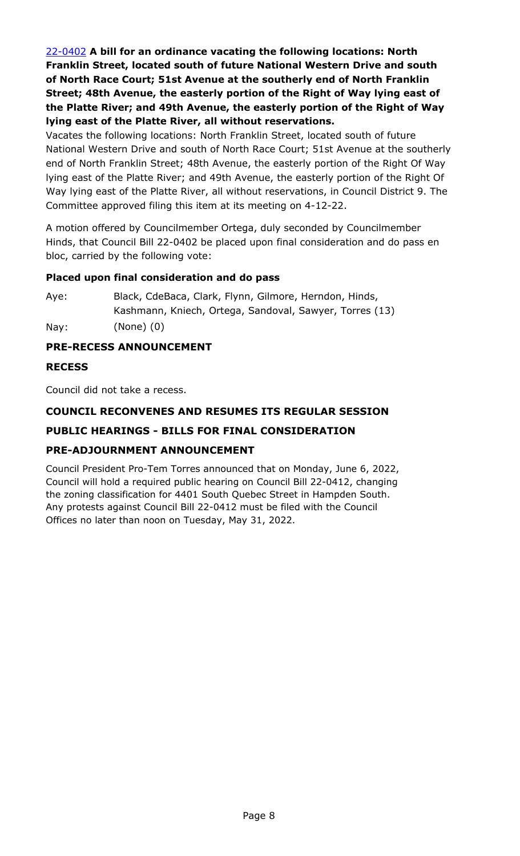22-0402 **A bill for an ordinance vacating the following locations: North Franklin Street, located south of future National Western Drive and south of North Race Court; 51st Avenue at the southerly end of North Franklin Street; 48th Avenue, the easterly portion of the Right of Way lying east of the Platte River; and 49th Avenue, the easterly portion of the Right of Way lying east of the Platte River, all without reservations.**

Vacates the following locations: North Franklin Street, located south of future [National Western Drive and south of North Race Court; 51st Avenue at the southerly](http://denver.legistar.com/gateway.aspx?m=l&id=/matter.aspx?key=21469)  end of North Franklin Street; 48th Avenue, the easterly portion of the Right Of Way lying east of the Platte River; and 49th Avenue, the easterly portion of the Right Of Way lying east of the Platte River, all without reservations, in Council District 9. The Committee approved filing this item at its meeting on 4-12-22.

A motion offered by Councilmember Ortega, duly seconded by Councilmember Hinds, that Council Bill 22-0402 be placed upon final consideration and do pass en bloc, carried by the following vote:

## **Placed upon final consideration and do pass**

Aye: Black, CdeBaca, Clark, Flynn, Gilmore, Herndon, Hinds, Kashmann, Kniech, Ortega, Sandoval, Sawyer, Torres (13) Nay: (None) (0)

#### **PRE-RECESS ANNOUNCEMENT**

#### **RECESS**

Council did not take a recess.

#### **COUNCIL RECONVENES AND RESUMES ITS REGULAR SESSION**

## **PUBLIC HEARINGS - BILLS FOR FINAL CONSIDERATION**

## **PRE-ADJOURNMENT ANNOUNCEMENT**

Council President Pro-Tem Torres announced that on Monday, June 6, 2022, Council will hold a required public hearing on Council Bill 22-0412, changing the zoning classification for 4401 South Quebec Street in Hampden South. Any protests against Council Bill 22-0412 must be filed with the Council Offices no later than noon on Tuesday, May 31, 2022.